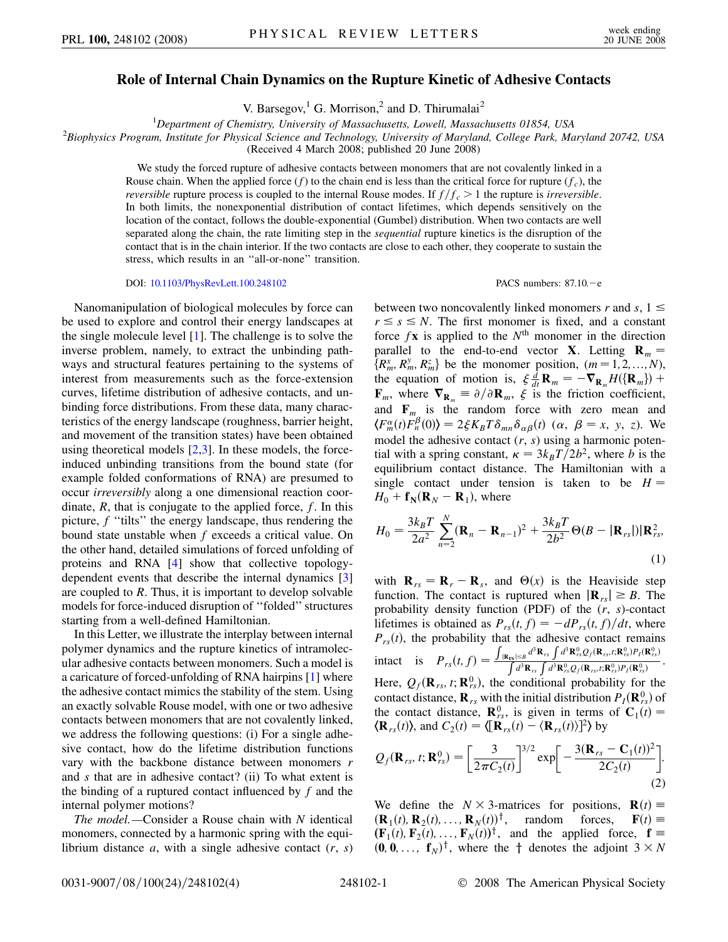## **Role of Internal Chain Dynamics on the Rupture Kinetic of Adhesive Contacts**

V. Barsegov,<sup>1</sup> G. Morrison,<sup>2</sup> and D. Thirumalai<sup>2</sup>

<sup>1</sup>Department of Chemistry, University of Massachusetts, Lowell, Massachusetts 01854, USA

<sup>1</sup>Department of Chemistry, University of Massachusetts, Lowell, Massachusetts 01854, USA<br><sup>2</sup>Biophysics Program, Institute for Physical Science and Technology, University of Maryland, College Park, Maryland 20742, USA

(Received 4 March 2008; published 20 June 2008)

We study the forced rupture of adhesive contacts between monomers that are not covalently linked in a Rouse chain. When the applied force  $(f)$  to the chain end is less than the critical force for rupture  $(f_c)$ , the *reversible* rupture process is coupled to the internal Rouse modes. If  $f/f_c > 1$  the rupture is *irreversible*. In both limits, the nonexponential distribution of contact lifetimes, which depends sensitively on the location of the contact, follows the double-exponential (Gumbel) distribution. When two contacts are well separated along the chain, the rate limiting step in the *sequential* rupture kinetics is the disruption of the contact that is in the chain interior. If the two contacts are close to each other, they cooperate to sustain the stress, which results in an ''all-or-none'' transition.

DOI: [10.1103/PhysRevLett.100.248102](http://dx.doi.org/10.1103/PhysRevLett.100.248102) PACS numbers: 87.10. - e

Nanomanipulation of biological molecules by force can be used to explore and control their energy landscapes at the single molecule level [[1](#page-3-0)]. The challenge is to solve the inverse problem, namely, to extract the unbinding pathways and structural features pertaining to the systems of interest from measurements such as the force-extension curves, lifetime distribution of adhesive contacts, and unbinding force distributions. From these data, many characteristics of the energy landscape (roughness, barrier height, and movement of the transition states) have been obtained using theoretical models  $[2,3]$  $[2,3]$  $[2,3]$  $[2,3]$ . In these models, the forceinduced unbinding transitions from the bound state (for example folded conformations of RNA) are presumed to occur *irreversibly* along a one dimensional reaction coordinate, *R*, that is conjugate to the applied force, *f*. In this picture, *f* "tilts" the energy landscape, thus rendering the bound state unstable when *f* exceeds a critical value. On the other hand, detailed simulations of forced unfolding of proteins and RNA [[4\]](#page-3-3) show that collective topologydependent events that describe the internal dynamics [\[3\]](#page-3-2) are coupled to *R*. Thus, it is important to develop solvable models for force-induced disruption of ''folded'' structures starting from a well-defined Hamiltonian.

In this Letter, we illustrate the interplay between internal polymer dynamics and the rupture kinetics of intramolecular adhesive contacts between monomers. Such a model is a caricature of forced-unfolding of RNA hairpins [[1\]](#page-3-0) where the adhesive contact mimics the stability of the stem. Using an exactly solvable Rouse model, with one or two adhesive contacts between monomers that are not covalently linked, we address the following questions: (i) For a single adhesive contact, how do the lifetime distribution functions vary with the backbone distance between monomers *r* and *s* that are in adhesive contact? (ii) To what extent is the binding of a ruptured contact influenced by *f* and the internal polymer motions?

*The model.—*Consider a Rouse chain with *N* identical monomers, connected by a harmonic spring with the equilibrium distance *a*, with a single adhesive contact (*r*, *s*)

between two noncovalently linked monomers  $r$  and  $s$ ,  $1 \leq$  $r \leq s \leq N$ . The first monomer is fixed, and a constant force  $f\mathbf{x}$  is applied to the  $N^{\text{th}}$  monomer in the direction parallel to the end-to-end vector **X**. Letting  $\mathbf{R}_m =$  ${R_m^x, R_m^y, R_m^z}$  be the monomer position,  $(m=1, 2, ..., N)$ , the equation of motion is,  $\xi \frac{d}{dt} \mathbf{R}_m = -\nabla_{\mathbf{R}_m} H(\{\mathbf{R}_m\})$  + **F**<sub>*m*</sub>, where  $\nabla_{\mathbf{R}_m} \equiv \partial/\partial \mathbf{R}_m$ ,  $\xi$  is the friction coefficient, and  $\mathbf{F}_m$  is the random force with zero mean and  $\langle F_m^{\alpha}(t)F_n^{\beta}(0)\rangle = 2\xi K_B T \delta_{mn}\delta_{\alpha\beta}(t)$  ( $\alpha, \beta = x, y, z$ ). We model the adhesive contact (*r*, *s*) using a harmonic potential with a spring constant,  $\kappa = 3k_BT/2b^2$ , where *b* is the equilibrium contact distance. The Hamiltonian with a single contact under tension is taken to be  $H =$  $H_0$  +  $f_N$ ( $\mathbf{R}_N$  –  $\mathbf{R}_1$ ), where

$$
H_0 = \frac{3k_B T}{2a^2} \sum_{n=2}^{N} (\mathbf{R}_n - \mathbf{R}_{n-1})^2 + \frac{3k_B T}{2b^2} \Theta(B - |\mathbf{R}_{rs}|) |\mathbf{R}_{rs}^2,
$$
\n(1)

with  $\mathbf{R}_{rs} = \mathbf{R}_r - \mathbf{R}_s$ , and  $\Theta(x)$  is the Heaviside step function. The contact is ruptured when  $|\mathbf{R}_{rs}| \geq B$ . The probability density function (PDF) of the (*r*, *s*)-contact lifetimes is obtained as  $P_{rs}(t, f) = -dP_{rs}(t, f)/dt$ , where  $P_{rs}(t)$ , the probability that the adhesive contact remains intact is  $P_{rs}(t, f) =$ יי<br>ז  $\frac{|\mathbf{R}_{rs}| \leq B}{\int d^3 \mathbf{R}_{rs} \int d^3 \mathbf{R}_{rs} Q_f(\mathbf{R}_{rs},t;\mathbf{R}_{rs}^0) P_f(\mathbf{R}_{rs}^0)}$ Here,  $Q_f(\mathbf{R}_{rs}, t; \mathbf{R}_{rs}^0)$ , the conditional probability for the

contact distance,  $\mathbf{R}_{rs}$  with the initial distribution  $P_I(\mathbf{R}_{rs}^0)$  of the contact distance,  $\mathbf{R}_{rs}^0$ , is given in terms of  $\mathbf{C}_1(t)$  =  $\langle \mathbf{R}_{rs}(t) \rangle$ , and  $C_2(t) = \langle [\mathbf{R}_{rs}(t) - \langle \mathbf{R}_{rs}(t) \rangle]^2 \rangle$  by

<span id="page-0-0"></span>
$$
Q_f(\mathbf{R}_{rs}, t; \mathbf{R}_{rs}^0) = \left[\frac{3}{2\pi C_2(t)}\right]^{3/2} \exp\left[-\frac{3(\mathbf{R}_{rs} - \mathbf{C}_1(t))^2}{2C_2(t)}\right].
$$
\n(2)

We define the  $N \times 3$ -matrices for positions,  $\mathbf{R}(t) \equiv$  $(\mathbf{R}_1(t), \mathbf{R}_2(t), \dots, \mathbf{R}_N(t))^\dagger$ , random forces,  $\mathbf{F}(t) \equiv$  $(\mathbf{F}_1(t), \mathbf{F}_2(t), \ldots, \mathbf{F}_N(t))^\dagger$ , and the applied force,  $\mathbf{f} =$  $(0, 0, \ldots, f_N)^{\dagger}$ , where the  $\dagger$  denotes the adjoint  $3 \times N$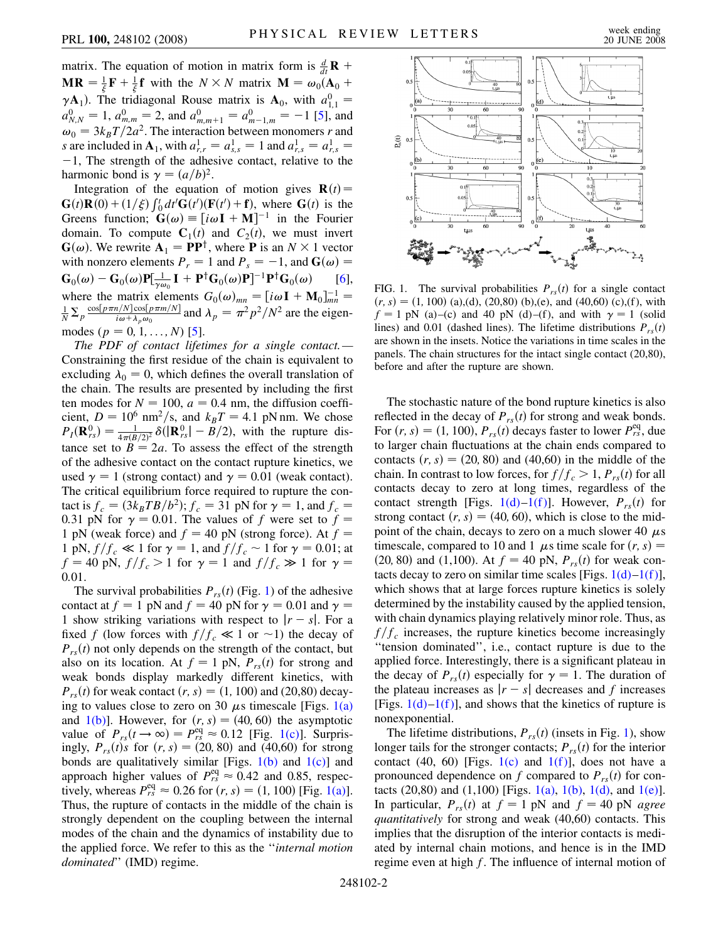matrix. The equation of motion in matrix form is  $\frac{d}{dt}$ **R** +  $MR = \frac{1}{\xi}F + \frac{1}{\xi}f$  with the  $N \times N$  matrix  $M = \omega_0(A_0 +$  $\gamma$ **A**<sub>1</sub>). The tridiagonal Rouse matrix is **A**<sub>0</sub>, with  $a_{1,1}^0$  =  $a_{N,N}^0 = 1$ ,  $a_{m,m}^0 = 2$ , and  $a_{m,m+1}^0 = a_{m-1,m}^0 = -1$  [\[5\]](#page-3-4), and  $\omega_0 = 3k_B T/2a^2$ . The interaction between monomers *r* and *s* are included in  $A_1$ , with  $a_{r,r}^1 = a_{s,s}^1 = 1$  and  $a_{r,s}^1 = a_{r,s}^1 = 1$  $-1$ , The strength of the adhesive contact, relative to the harmonic bond is  $\gamma = (a/b)^2$ .

Integration of the equation of motion gives  $\mathbf{R}(t)$  =  $G(t)R(0) + (1/\xi) \int_0^t dt' G(t') (F(t') + f)$ , where  $G(t)$  is the Greens function;  $\mathbf{G}(\omega) \equiv [i\omega \mathbf{I} + \mathbf{M}]^{-1}$  in the Fourier domain. To compute  $C_1(t)$  and  $C_2(t)$ , we must invert  $\mathbf{G}(\omega)$ . We rewrite  $\mathbf{A}_1 = \mathbf{P}\mathbf{P}^{\dagger}$ , where **P** is an  $N \times 1$  vector with nonzero elements  $P_r = 1$  and  $P_s = -1$ , and  $\mathbf{G}(\omega) =$  $\mathbf{G}_0(\omega) - \mathbf{G}_0(\omega) \mathbf{P}[\frac{1}{\gamma \omega_0} \mathbf{I} + \mathbf{P}^{\dagger} \mathbf{G}_0(\omega) \mathbf{P}]^{-1} \mathbf{P}^{\dagger} \mathbf{G}_0(\omega)$  [[6\]](#page-3-5), where the matrix elements  $G_0(\omega)_{mn} = [i\omega \mathbf{I} + \mathbf{M}_0]_{mn}^{-1} =$  $\frac{1}{N} \sum_{p} \frac{\cos[p\pi n/N] \cos[p\pi m/N]}{i\omega + \lambda_p \omega_0}$  and  $\lambda_p = \pi^2 p^2/N^2$  are the eigenmodes  $(p = 0, 1, \ldots, N)$  [\[5\]](#page-3-4).

*The PDF of contact lifetimes for a single contact.—* Constraining the first residue of the chain is equivalent to excluding  $\lambda_0 = 0$ , which defines the overall translation of the chain. The results are presented by including the first ten modes for  $N = 100$ ,  $a = 0.4$  nm, the diffusion coefficient,  $D = 10^6$  nm<sup>2</sup>/s, and  $k_B T = 4.1$  pN nm. We chose  $P_I(\mathbf{R}_{rs}^0) = \frac{1}{4\pi(B/2)^2} \delta(|\mathbf{R}_{rs}^0| - B/2)$ , with the rupture distance set to  $B = 2a$ . To assess the effect of the strength of the adhesive contact on the contact rupture kinetics, we used  $\gamma = 1$  (strong contact) and  $\gamma = 0.01$  (weak contact). The critical equilibrium force required to rupture the contact is  $f_c = (3k_BTB/b^2); f_c = 31 \text{ pN}$  for  $\gamma = 1$ , and  $f_c =$ 0.31 pN for  $\gamma = 0.01$ . The values of f were set to  $f =$ 1 pN (weak force) and  $f = 40$  pN (strong force). At  $f =$ 1 pN,  $f/f_c \ll 1$  for  $\gamma = 1$ , and  $f/f_c \sim 1$  for  $\gamma = 0.01$ ; at  $f = 40 \text{ pN}, f/f_c > 1 \text{ for } \gamma = 1 \text{ and } f/f_c \gg 1 \text{ for } \gamma =$ 0*:*01.

The survival probabilities  $P_{rs}(t)$  (Fig. [1](#page-1-0)) of the adhesive contact at  $f = 1$  pN and  $f = 40$  pN for  $\gamma = 0.01$  and  $\gamma =$ 1 show striking variations with respect to  $|r - s|$ . For a fixed f (low forces with  $f/f_c \ll 1$  or  $\sim$ 1) the decay of  $P_{rs}(t)$  not only depends on the strength of the contact, but also on its location. At  $f = 1$  pN,  $P_{rs}(t)$  for strong and weak bonds display markedly different kinetics, with  $P_{rs}(t)$  for weak contact  $(r, s) = (1, 100)$  and (20,80) decaying to values close to zero on 30  $\mu$ s timescale [Figs. [1\(a\)](#page-1-1) and  $1(b)$ ]. However, for  $(r, s) = (40, 60)$  the asymptotic value of  $P_{rs}(t \to \infty) = P_{rs}^{eq} \approx 0.12$  [Fig. [1\(c\)\]](#page-1-1). Surprisingly,  $P_{rs}(t)s$  for  $(r, s) = (20, 80)$  and  $(40, 60)$  for strong bonds are qualitatively similar [Figs.  $1(b)$  and  $1(c)$ ] and approach higher values of  $P_{rs}^{\text{eq}} \approx 0.42$  and 0.85, respectively, whereas  $P_{rs}^{\text{eq}} \approx 0.26$  for  $(r, s) = (1, 100)$  [Fig. [1\(a\)\]](#page-1-1). Thus, the rupture of contacts in the middle of the chain is strongly dependent on the coupling between the internal modes of the chain and the dynamics of instability due to the applied force. We refer to this as the ''*internal motion dominated*'' (IMD) regime.

<span id="page-1-0"></span>

<span id="page-1-1"></span>FIG. 1. The survival probabilities  $P_{rs}(t)$  for a single contact  $(r, s) = (1, 100)$  (a),(d), (20,80) (b),(e), and (40,60) (c),(f), with  $f = 1$  pN (a)–(c) and 40 pN (d)–(f), and with  $\gamma = 1$  (solid lines) and 0.01 (dashed lines). The lifetime distributions  $P_{rs}(t)$ are shown in the insets. Notice the variations in time scales in the panels. The chain structures for the intact single contact (20,80), before and after the rupture are shown.

The stochastic nature of the bond rupture kinetics is also reflected in the decay of  $P_{rs}(t)$  for strong and weak bonds. For  $(r, s) = (1, 100)$ ,  $P_{rs}(t)$  decays faster to lower  $P_{rs}^{\text{eq}}$ , due to larger chain fluctuations at the chain ends compared to contacts  $(r, s) = (20, 80)$  and  $(40, 60)$  in the middle of the chain. In contrast to low forces, for  $f/f_c > 1$ ,  $P_{rs}(t)$  for all contacts decay to zero at long times, regardless of the contact strength [Figs.  $1(d) - 1(f)$  $1(d) - 1(f)$ ]. However,  $P_{rs}(t)$  for strong contact  $(r, s) = (40, 60)$ , which is close to the midpoint of the chain, decays to zero on a much slower 40  $\mu$ s timescale, compared to 10 and 1  $\mu$ s time scale for  $(r, s)$  = (20, 80) and (1,100). At  $f = 40$  pN,  $P_{rs}(t)$  for weak contacts decay to zero on similar time scales [Figs.  $1(d) - 1(f)$ ], which shows that at large forces rupture kinetics is solely determined by the instability caused by the applied tension, with chain dynamics playing relatively minor role. Thus, as  $f/f_c$  increases, the rupture kinetics become increasingly ''tension dominated'', i.e., contact rupture is due to the applied force. Interestingly, there is a significant plateau in the decay of  $P_{rs}(t)$  especially for  $\gamma = 1$ . The duration of the plateau increases as  $|r - s|$  decreases and *f* increases [Figs.  $1(d)-1(f)$  $1(d)-1(f)$  $1(d)-1(f)$ ], and shows that the kinetics of rupture is nonexponential.

The lifetime distributions,  $P_{rs}(t)$  (insets in Fig. [1\)](#page-1-0), show longer tails for the stronger contacts;  $P_{rs}(t)$  for the interior contact (40, 60) [Figs. [1\(c\)](#page-1-1) and  $1(f)$ ], does not have a pronounced dependence on *f* compared to  $P_{rs}(t)$  for con-tacts (20,80) and (1,100) [Figs. [1\(a\),](#page-1-1) [1\(b\),](#page-1-1) [1\(d\)](#page-1-1), and [1\(e\)\]](#page-1-1). In particular,  $P_{rs}(t)$  at  $f = 1$  pN and  $f = 40$  pN *agree quantitatively* for strong and weak (40,60) contacts. This implies that the disruption of the interior contacts is mediated by internal chain motions, and hence is in the IMD regime even at high *f*. The influence of internal motion of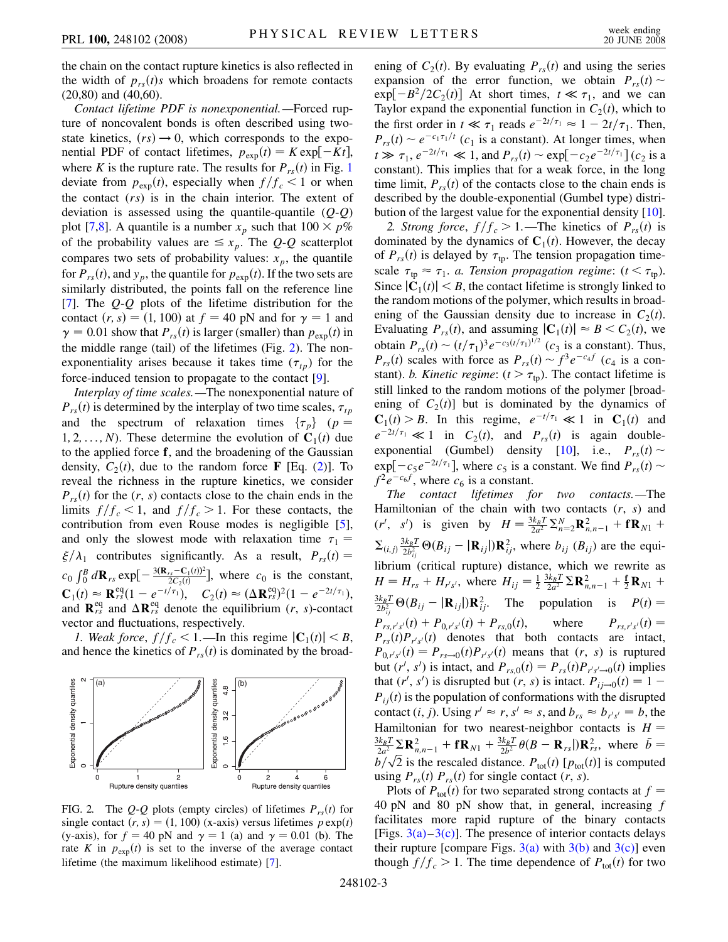the chain on the contact rupture kinetics is also reflected in the width of  $p_{rs}(t)s$  which broadens for remote contacts (20,80) and (40,60).

*Contact lifetime PDF is nonexponential.—*Forced rupture of noncovalent bonds is often described using twostate kinetics,  $(rs) \rightarrow 0$ , which corresponds to the exponential PDF of contact lifetimes,  $p_{exp}(t) = K exp[-Kt]$ , where *K* is the rupture rate. The results for  $P_{rs}(t)$  in Fig. [1](#page-1-0) deviate from  $p_{\text{exp}}(t)$ , especially when  $f/f_c < 1$  or when the contact (*rs*) is in the chain interior. The extent of deviation is assessed using the quantile-quantile (*Q*-*Q*) plot [[7](#page-3-6),[8\]](#page-3-7). A quantile is a number  $x_p$  such that  $100 \times p\%$ of the probability values are  $\leq x_p$ . The *Q*-*Q* scatterplot compares two sets of probability values:  $x_p$ , the quantile for  $P_{rs}(t)$ , and  $y_p$ , the quantile for  $p_{exp}(t)$ . If the two sets are similarly distributed, the points fall on the reference line [\[7\]](#page-3-6). The *Q*-*Q* plots of the lifetime distribution for the contact  $(r, s) = (1, 100)$  at  $f = 40$  pN and for  $\gamma = 1$  and  $\gamma = 0.01$  show that  $P_{rs}(t)$  is larger (smaller) than  $p_{exp}(t)$  in the middle range (tail) of the lifetimes (Fig. [2\)](#page-2-0). The nonexponentiality arises because it takes time  $(\tau_{tp})$  for the force-induced tension to propagate to the contact [\[9](#page-3-8)].

*Interplay of time scales.—*The nonexponential nature of  $P_{rs}(t)$  is determined by the interplay of two time scales,  $\tau_{tp}$ and the spectrum of relaxation times  $\{\tau_p\}$  (*p* = 1, 2, ..., *N*). These determine the evolution of  $C_1(t)$  due to the applied force **f**, and the broadening of the Gaussian density,  $C_2(t)$  $C_2(t)$  $C_2(t)$ , due to the random force **F** [Eq. (2)]. To reveal the richness in the rupture kinetics, we consider  $P_{rs}(t)$  for the  $(r, s)$  contacts close to the chain ends in the limits  $f/f_c < 1$ , and  $f/f_c > 1$ . For these contacts, the contribution from even Rouse modes is negligible [[5\]](#page-3-4), and only the slowest mode with relaxation time  $\tau_1$  =  $\zeta/\lambda_1$  contributes significantly. As a result,  $P_{rs}(t) =$  $c_0 \int_0^B d\mathbf{R}_{rs} \exp[-\frac{3(\mathbf{R}_{rs}-\mathbf{C}_1(t))^2}{2C_2(t)}]$ , where  $c_0$  is the constant,  $C_1(t) \approx \mathbf{R}_{rs}^{\text{eq}}(1 - e^{-t/\tau_1}), \quad C_2(t) \approx (\Delta \mathbf{R}_{rs}^{\text{eq}})^2(1 - e^{-2t/\tau_1}),$ and  $\mathbf{R}^{\text{eq}}_{rs}$  and  $\Delta \mathbf{R}^{\text{eq}}_{rs}$  denote the equilibrium (*r*, *s*)-contact vector and fluctuations, respectively.

*1. Weak force,*  $f/f_c < 1$ . —In this regime  $|\mathbf{C}_1(t)| < B$ , and hence the kinetics of  $P_{rs}(t)$  is dominated by the broad-

<span id="page-2-0"></span>

FIG. 2. The Q-Q plots (empty circles) of lifetimes  $P_{rs}(t)$  for single contact  $(r, s) = (1, 100)$  (x-axis) versus lifetimes  $p \exp(t)$ (y-axis), for  $f = 40$  pN and  $\gamma = 1$  (a) and  $\gamma = 0.01$  (b). The rate *K* in  $p_{exp}(t)$  is set to the inverse of the average contact lifetime (the maximum likelihood estimate) [[7](#page-3-6)].

ening of  $C_2(t)$ . By evaluating  $P_{rs}(t)$  and using the series expansion of the error function, we obtain  $P_{rs}(t)$  ~  $\exp[-B^2/2C_2(t)]$  At short times,  $t \ll \tau_1$ , and we can Taylor expand the exponential function in  $C_2(t)$ , which to the first order in  $t \ll \tau_1$  reads  $e^{-2t/\tau_1} \approx 1 - 2t/\tau_1$ . Then,  $P_{rs}(t) \sim e^{-c_1 \tau_1/t}$  ( $c_1$  is a constant). At longer times, when  $t \gg \tau_1$ ,  $e^{-2t/\tau_1} \ll 1$ , and  $P_{rs}(t) \sim \exp[-c_2 e^{-2t/\tau_1}](c_2)$  is a constant). This implies that for a weak force, in the long time limit,  $P_{rs}(t)$  of the contacts close to the chain ends is described by the double-exponential (Gumbel type) distri-bution of the largest value for the exponential density [[10\]](#page-3-9).

2. Strong force,  $f/f_c > 1$ .—The kinetics of  $P_{rs}(t)$  is dominated by the dynamics of  $C_1(t)$ . However, the decay of  $P_{rs}(t)$  is delayed by  $\tau_{tp}$ . The tension propagation timescale  $\tau_{tp} \approx \tau_1$ . *a. Tension propagation regime*:  $(t < \tau_{tp})$ . Since  $|\mathbf{C}_1(t)| < B$ , the contact lifetime is strongly linked to the random motions of the polymer, which results in broadening of the Gaussian density due to increase in  $C_2(t)$ . Evaluating  $P_{rs}(t)$ , and assuming  $|\mathbf{C}_1(t)| \approx B \lt C_2(t)$ , we obtain  $P_{rs}(t) \sim (t/\tau_1)^3 e^{-c_3(t/\tau_1)^{1/2}}$  ( $c_3$  is a constant). Thus,  $P_{rs}(t)$  scales with force as  $P_{rs}(t) \sim f^3 e^{-c_4 f}$  (*c*<sub>4</sub> is a constant). *b. Kinetic regime*:  $(t > \tau_{tp})$ . The contact lifetime is still linked to the random motions of the polymer [broadening of  $C_2(t)$  but is dominated by the dynamics of  $\mathbf{C}_1(t) > B$ . In this regime,  $e^{-t/\tau_1} \ll 1$  in  $\mathbf{C}_1(t)$  and  $e^{-2t/\tau_1} \ll 1$  in  $C_2(t)$ , and  $P_{rs}(t)$  is again double-exponential (Gumbel) density [\[10](#page-3-9)], i.e.,  $P_{rs}(t) \sim$  $\exp[-c_5e^{-2t/\tau_1}]$ , where  $c_5$  is a constant. We find  $P_{rs}(t) \sim$  $f^2e^{-c_6f}$ , where  $c_6$  is a constant.

*The contact lifetimes for two contacts.—*The Hamiltonian of the chain with two contacts (*r*, *s*) and  $(r', s')$  is given by  $H = \frac{3k_B T}{2a^2} \sum_{n=2}^{N} \mathbf{R}_{n,n-1}^2 + f \mathbf{R}_{N1} + f \mathbf{R}_{N2}$  $\sum_{(i,j)} \frac{3k_B T}{2b_{ij}^2} \Theta(B_{ij} - |\mathbf{R}_{ij}|) \mathbf{R}_{ij}^2$ , where  $b_{ij}$  ( $B_{ij}$ ) are the equilibrium (critical rupture) distance, which we rewrite as  $H = H_{rs} + H_{r's'}$ , where  $H_{ij} = \frac{1}{2} \frac{3k_B T}{2a^2} \Sigma \mathbf{R}_{n,n-1}^2 + \frac{1}{2} \mathbf{R}_{N1} + \frac{1}{2} \mathbf{R}_{N1}$  $\frac{3k_B T}{2b_{ij}^2} \Theta(B_{ij} - |\mathbf{R}_{ij}|) \mathbf{R}_{ij}^2$ . The population is  $P(t) =$  $P_{rs,r's'}(t) + P_{0,r's'}(t) + P_{rs,0}(t)$ , where  $P_{rs,r'}(t)$  $P_{rs,r's'}(t) =$  $P_{rs}(t)P_{r's'}(t)$  denotes that both contacts are intact,  $P_{0,r's'}(t) = P_{rs \to 0}(t) P_{r's'}(t)$  means that  $(r, s)$  is ruptured but  $(r', s')$  is intact, and  $P_{rs,0}(t) = P_{rs}(t)P_{r's'\to 0}(t)$  implies that  $(r', s')$  is disrupted but  $(r, s)$  is intact.  $P_{ij\rightarrow 0}(t) = 1 P_{ij}(t)$  is the population of conformations with the disrupted contact  $(i, j)$ . Using  $r' \approx r$ ,  $s' \approx s$ , and  $b_{rs} \approx b_{r's'} = b$ , the Hamiltonian for two nearest-neighbor contacts is  $H =$  $\frac{3k_B T}{2a^2} \sum_{n=1}^{\infty} \mathbf{R}_{n,n-1}^2 + f \mathbf{R}_{N1} + \frac{3k_B T}{2b^2} \theta (B - \mathbf{R}_{rs}) \mathbf{R}_{rs}^2$ , where  $\bar{b} =$  $\frac{1}{2a^2}$   $2 \mathbf{R}_{n,n-1}$  **i**  $\mathbf{R}_{N1}$  **i**  $\frac{1}{2b^2}$   $\mathbf{0}$  **i**  $\mathbf{R}_{rs}$  (*p*<sub>tot</sub>*(t)*  $\mathbf{R}_{rs}$  (*p*)  $\mathbf{R}_{rs}$  (*p*)  $\mathbf{B}_{r}$  (*p*) is computed using  $P_{rs}(t)$   $P_{rs}(t)$  for single contact  $(r, s)$ .

Plots of  $P_{\text{tot}}(t)$  for two separated strong contacts at  $f =$ 40 pN and 80 pN show that, in general, increasing *f* facilitates more rapid rupture of the binary contacts [Figs.  $3(a)-3(c)$ ]. The presence of interior contacts delays their rupture [compare Figs.  $3(a)$  with  $3(b)$  and  $3(c)$ ] even though  $f/f_c > 1$ . The time dependence of  $P_{\text{tot}}(t)$  for two